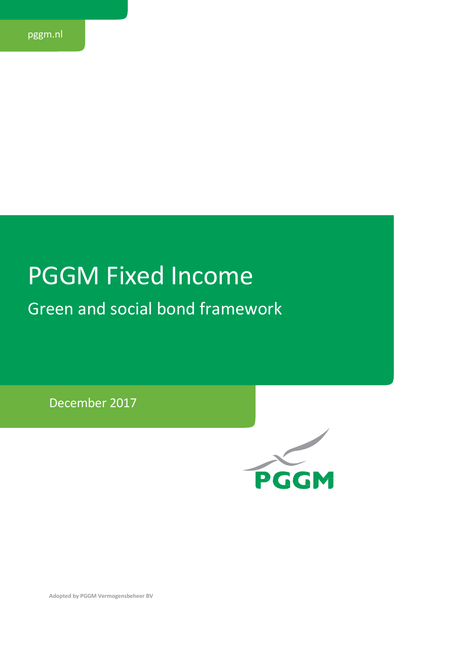# PGGM Fixed Income

Green and social bond framework

December 2017



**Adopted by PGGM Vermogensbeheer BV**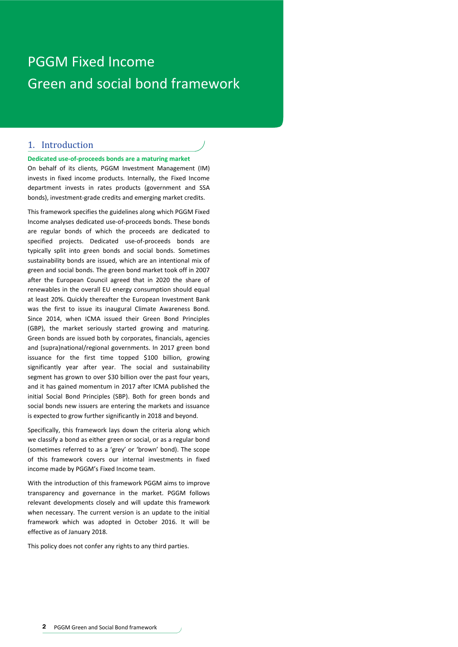# PGGM Fixed Income Green and social bond framework

# 1. Introduction

**Dedicated use-of-proceeds bonds are a maturing market** On behalf of its clients, PGGM Investment Management (IM) invests in fixed income products. Internally, the Fixed Income department invests in rates products (government and SSA bonds), investment-grade credits and emerging market credits.

This framework specifies the guidelines along which PGGM Fixed Income analyses dedicated use-of-proceeds bonds. These bonds are regular bonds of which the proceeds are dedicated to specified projects. Dedicated use-of-proceeds bonds are typically split into green bonds and social bonds. Sometimes sustainability bonds are issued, which are an intentional mix of green and social bonds. The green bond market took off in 2007 after the European Council agreed that in 2020 the share of renewables in the overall EU energy consumption should equal at least 20%. Quickly thereafter the European Investment Bank was the first to issue its inaugural Climate Awareness Bond. Since 2014, when ICMA issued their Green Bond Principles (GBP), the market seriously started growing and maturing. Green bonds are issued both by corporates, financials, agencies and (supra)national/regional governments. In 2017 green bond issuance for the first time topped \$100 billion, growing significantly year after year. The social and sustainability segment has grown to over \$30 billion over the past four years, and it has gained momentum in 2017 after ICMA published the initial Social Bond Principles (SBP). Both for green bonds and social bonds new issuers are entering the markets and issuance is expected to grow further significantly in 2018 and beyond.

Specifically, this framework lays down the criteria along which we classify a bond as either green or social, or as a regular bond (sometimes referred to as a 'grey' or 'brown' bond). The scope of this framework covers our internal investments in fixed income made by PGGM's Fixed Income team.

With the introduction of this framework PGGM aims to improve transparency and governance in the market. PGGM follows relevant developments closely and will update this framework when necessary. The current version is an update to the initial framework which was adopted in October 2016. It will be effective as of January 2018.

This policy does not confer any rights to any third parties.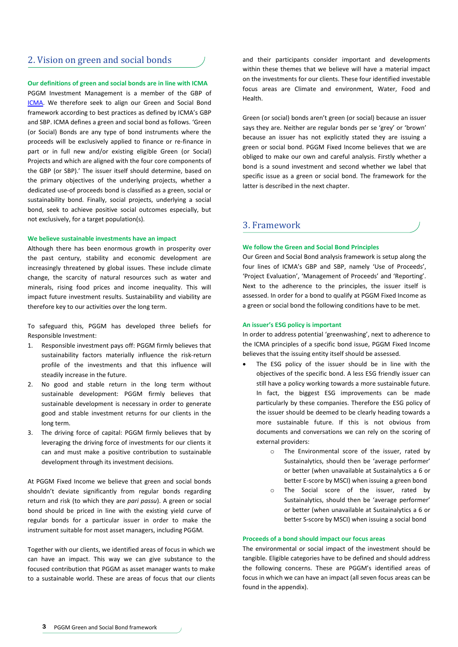# 2. Vision on green and social bonds

#### **Our definitions of green and social bonds are in line with ICMA**

PGGM Investment Management is a member of the GBP of [ICMA.](http://www.icmagroup.org/Regulatory-Policy-and-Market-Practice/green-bonds/membership/) We therefore seek to align our Green and Social Bond framework according to best practices as defined by ICMA's GBP and SBP. ICMA defines a green and social bond as follows. 'Green (or Social) Bonds are any type of bond instruments where the proceeds will be exclusively applied to finance or re-finance in part or in full new and/or existing eligible Green (or Social) Projects and which are aligned with the four core components of the GBP (or SBP).' The issuer itself should determine, based on the primary objectives of the underlying projects, whether a dedicated use-of proceeds bond is classified as a green, social or sustainability bond. Finally, social projects, underlying a social bond, seek to achieve positive social outcomes especially, but not exclusively, for a target population(s).

#### **We believe sustainable investments have an impact**

Although there has been enormous growth in prosperity over the past century, stability and economic development are increasingly threatened by global issues. These include climate change, the scarcity of natural resources such as water and minerals, rising food prices and income inequality. This will impact future investment results. Sustainability and viability are therefore key to our activities over the long term.

To safeguard this, PGGM has developed three beliefs for Responsible Investment:

- 1. Responsible investment pays off: PGGM firmly believes that sustainability factors materially influence the risk-return profile of the investments and that this influence will steadily increase in the future.
- 2. No good and stable return in the long term without sustainable development: PGGM firmly believes that sustainable development is necessary in order to generate good and stable investment returns for our clients in the long term.
- 3. The driving force of capital: PGGM firmly believes that by leveraging the driving force of investments for our clients it can and must make a positive contribution to sustainable development through its investment decisions.

At PGGM Fixed Income we believe that green and social bonds shouldn't deviate significantly from regular bonds regarding return and risk (to which they are *pari passu*). A green or social bond should be priced in line with the existing yield curve of regular bonds for a particular issuer in order to make the instrument suitable for most asset managers, including PGGM.

Together with our clients, we identified areas of focus in which we can have an impact. This way we can give substance to the focused contribution that PGGM as asset manager wants to make to a sustainable world. These are areas of focus that our clients

and their participants consider important and developments within these themes that we believe will have a material impact on the investments for our clients. These four identified investable focus areas are Climate and environment, Water, Food and Health.

Green (or social) bonds aren't green (or social) because an issuer says they are. Neither are regular bonds per se 'grey' or 'brown' because an issuer has not explicitly stated they are issuing a green or social bond. PGGM Fixed Income believes that we are obliged to make our own and careful analysis. Firstly whether a bond is a sound investment and second whether we label that specific issue as a green or social bond. The framework for the latter is described in the next chapter.

# 3. Framework

#### **We follow the Green and Social Bond Principles**

Our Green and Social Bond analysis framework is setup along the four lines of ICMA's GBP and SBP, namely 'Use of Proceeds', 'Project Evaluation', 'Management of Proceeds' and 'Reporting'. Next to the adherence to the principles, the issuer itself is assessed. In order for a bond to qualify at PGGM Fixed Income as a green or social bond the following conditions have to be met.

#### **An issuer's ESG policy is important**

In order to address potential 'greenwashing', next to adherence to the ICMA principles of a specific bond issue, PGGM Fixed Income believes that the issuing entity itself should be assessed.

- The ESG policy of the issuer should be in line with the objectives of the specific bond. A less ESG friendly issuer can still have a policy working towards a more sustainable future. In fact, the biggest ESG improvements can be made particularly by these companies. Therefore the ESG policy of the issuer should be deemed to be clearly heading towards a more sustainable future. If this is not obvious from documents and conversations we can rely on the scoring of external providers:
	- o The Environmental score of the issuer, rated by Sustainalytics, should then be 'average performer' or better (when unavailable at Sustainalytics a 6 or better E-score by MSCI) when issuing a green bond
	- o The Social score of the issuer, rated by Sustainalytics, should then be 'average performer' or better (when unavailable at Sustainalytics a 6 or better S-score by MSCI) when issuing a social bond

#### **Proceeds of a bond should impact our focus areas**

The environmental or social impact of the investment should be tangible. Eligible categories have to be defined and should address the following concerns. These are PGGM's identified areas of focus in which we can have an impact (all seven focus areas can be found in the appendix).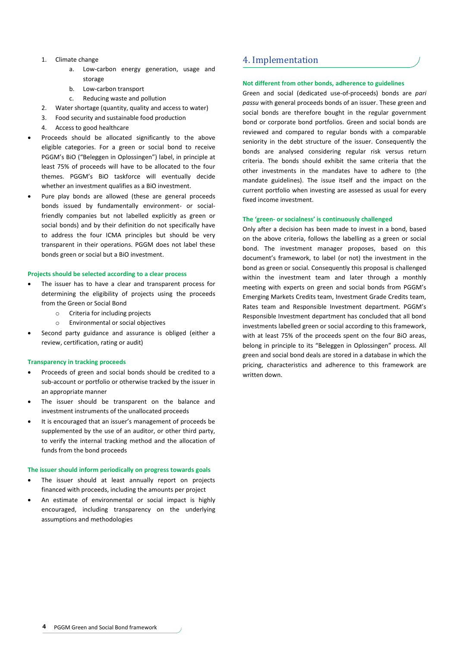- 1. Climate change
	- a. Low-carbon energy generation, usage and storage
	- b. Low-carbon transport
	- c. Reducing waste and pollution
- 2. Water shortage (quantity, quality and access to water)
- 3. Food security and sustainable food production
- 4. Access to good healthcare
- Proceeds should be allocated significantly to the above eligible categories. For a green or social bond to receive PGGM's BiO ("Beleggen in Oplossingen") label, in principle at least 75% of proceeds will have to be allocated to the four themes. PGGM's BiO taskforce will eventually decide whether an investment qualifies as a BiO investment.
- Pure play bonds are allowed (these are general proceeds bonds issued by fundamentally environment- or socialfriendly companies but not labelled explicitly as green or social bonds) and by their definition do not specifically have to address the four ICMA principles but should be very transparent in their operations. PGGM does not label these bonds green or social but a BiO investment.

#### **Projects should be selected according to a clear process**

- The issuer has to have a clear and transparent process for determining the eligibility of projects using the proceeds from the Green or Social Bond
	- o Criteria for including projects
	- o Environmental or social objectives
- Second party guidance and assurance is obliged (either a review, certification, rating or audit)

#### **Transparency in tracking proceeds**

- Proceeds of green and social bonds should be credited to a sub-account or portfolio or otherwise tracked by the issuer in an appropriate manner
- The issuer should be transparent on the balance and investment instruments of the unallocated proceeds
- It is encouraged that an issuer's management of proceeds be supplemented by the use of an auditor, or other third party, to verify the internal tracking method and the allocation of funds from the bond proceeds

#### **The issuer should inform periodically on progress towards goals**

- The issuer should at least annually report on projects financed with proceeds, including the amounts per project
- An estimate of environmental or social impact is highly encouraged, including transparency on the underlying assumptions and methodologies

# 4. Implementation

#### **Not different from other bonds, adherence to guidelines**

Green and social (dedicated use-of-proceeds) bonds are *pari passu* with general proceeds bonds of an issuer. These green and social bonds are therefore bought in the regular government bond or corporate bond portfolios. Green and social bonds are reviewed and compared to regular bonds with a comparable seniority in the debt structure of the issuer. Consequently the bonds are analysed considering regular risk versus return criteria. The bonds should exhibit the same criteria that the other investments in the mandates have to adhere to (the mandate guidelines). The issue itself and the impact on the current portfolio when investing are assessed as usual for every fixed income investment.

#### **The 'green- or socialness' is continuously challenged**

Only after a decision has been made to invest in a bond, based on the above criteria, follows the labelling as a green or social bond. The investment manager proposes, based on this document's framework, to label (or not) the investment in the bond as green or social. Consequently this proposal is challenged within the investment team and later through a monthly meeting with experts on green and social bonds from PGGM's Emerging Markets Credits team, Investment Grade Credits team, Rates team and Responsible Investment department. PGGM's Responsible Investment department has concluded that all bond investments labelled green or social according to this framework, with at least 75% of the proceeds spent on the four BiO areas, belong in principle to its "Beleggen in Oplossingen" process. All green and social bond deals are stored in a database in which the pricing, characteristics and adherence to this framework are written down.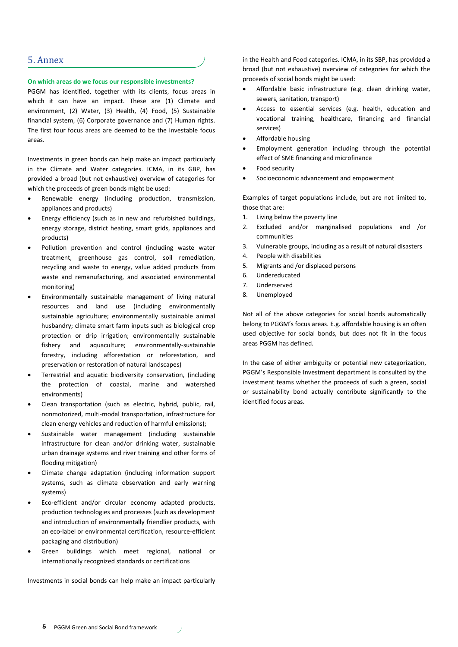### 5. Annex

#### **On which areas do we focus our responsible investments?**

PGGM has identified, together with its clients, focus areas in which it can have an impact. These are (1) Climate and environment, (2) Water, (3) Health, (4) Food, (5) Sustainable financial system, (6) Corporate governance and (7) Human rights. The first four focus areas are deemed to be the investable focus areas.

Investments in green bonds can help make an impact particularly in the Climate and Water categories. ICMA, in its GBP, has provided a broad (but not exhaustive) overview of categories for which the proceeds of green bonds might be used:

- Renewable energy (including production, transmission, appliances and products)
- Energy efficiency (such as in new and refurbished buildings, energy storage, district heating, smart grids, appliances and products)
- Pollution prevention and control (including waste water treatment, greenhouse gas control, soil remediation, recycling and waste to energy, value added products from waste and remanufacturing, and associated environmental monitoring)
- Environmentally sustainable management of living natural resources and land use (including environmentally sustainable agriculture; environmentally sustainable animal husbandry; climate smart farm inputs such as biological crop protection or drip irrigation; environmentally sustainable fishery and aquaculture; environmentally-sustainable forestry, including afforestation or reforestation, and preservation or restoration of natural landscapes)
- Terrestrial and aquatic biodiversity conservation, (including the protection of coastal, marine and watershed environments)
- Clean transportation (such as electric, hybrid, public, rail, nonmotorized, multi-modal transportation, infrastructure for clean energy vehicles and reduction of harmful emissions);
- Sustainable water management (including sustainable infrastructure for clean and/or drinking water, sustainable urban drainage systems and river training and other forms of flooding mitigation)
- Climate change adaptation (including information support systems, such as climate observation and early warning systems)
- Eco-efficient and/or circular economy adapted products, production technologies and processes (such as development and introduction of environmentally friendlier products, with an eco-label or environmental certification, resource-efficient packaging and distribution)
- Green buildings which meet regional, national or internationally recognized standards or certifications

Investments in social bonds can help make an impact particularly

in the Health and Food categories. ICMA, in its SBP, has provided a broad (but not exhaustive) overview of categories for which the proceeds of social bonds might be used:

- Affordable basic infrastructure (e.g. clean drinking water, sewers, sanitation, transport)
- Access to essential services (e.g. health, education and vocational training, healthcare, financing and financial services)
- Affordable housing
- Employment generation including through the potential effect of SME financing and microfinance
- Food security
- Socioeconomic advancement and empowerment

Examples of target populations include, but are not limited to, those that are:

- 1. Living below the poverty line
- 2. Excluded and/or marginalised populations and /or communities
- 3. Vulnerable groups, including as a result of natural disasters
- 4. People with disabilities
- 5. Migrants and /or displaced persons
- 6. Undereducated
- 7. Underserved
- 8. Unemployed

Not all of the above categories for social bonds automatically belong to PGGM's focus areas. E.g. affordable housing is an often used objective for social bonds, but does not fit in the focus areas PGGM has defined.

In the case of either ambiguity or potential new categorization, PGGM's Responsible Investment department is consulted by the investment teams whether the proceeds of such a green, social or sustainability bond actually contribute significantly to the identified focus areas.